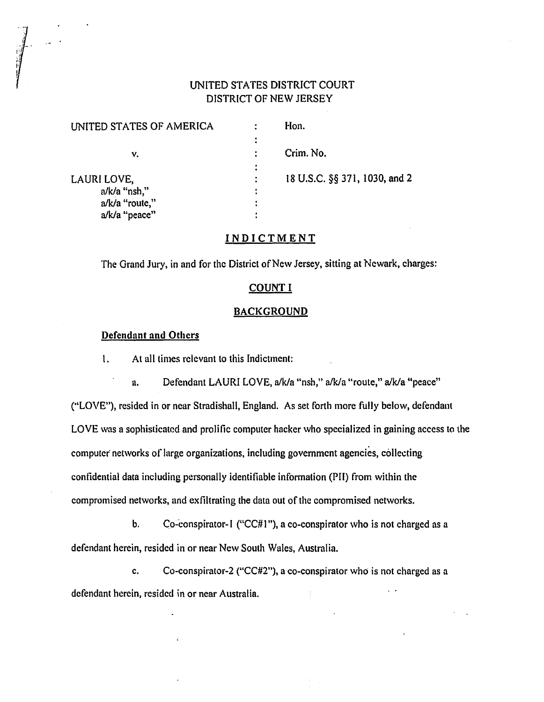# UNITED STATES DISTRICT COURT DISTRICT OF NEW JERSEY

| UNITED STATES OF AMERICA |   | Hon.                          |
|--------------------------|---|-------------------------------|
|                          |   |                               |
| ν.                       |   | Crim. No.                     |
|                          |   |                               |
| LAURI LOVE,              |   | 18 U.S.C. §§ 371, 1030, and 2 |
| a/k/a "nsh,"             | ٠ |                               |
| a/k/a "route,"           |   |                               |
| a/k/a "peace"            |   |                               |
|                          |   |                               |

# INDICTMENT

The Grand Jury, in and for the District of New Jersey, sitting at Newark, charges:

# COUNT I

#### **BACKGROUND**

## Defendant and Others

1. At all times relevant to this Indictment:

a. Defendant LAURI LOVE, a/k/a "nsh," a/k/a "route," a/k/a "peace" (''LOVE"), resided in or ncar Stradishall, England. As set forth more fully below, defendant LOVE was a sophisticated and prolific computer hacker who specialized in gaining access to the computer networks of large organizations, including government agencies, collecting confidential data including personally identifiable information (PII) from within the compromised networks, and exfiltrating the data out of the compromised networks.

b. Co-conspirator-1 ("CC#1"), a co-conspirator who is not charged as a defendant herein, resided in or near New South Wales, Australia.

c. Co-conspirator-2 ("CC#2"), a co-conspirator who is not charged as a defendant herein, resided in or near Australia.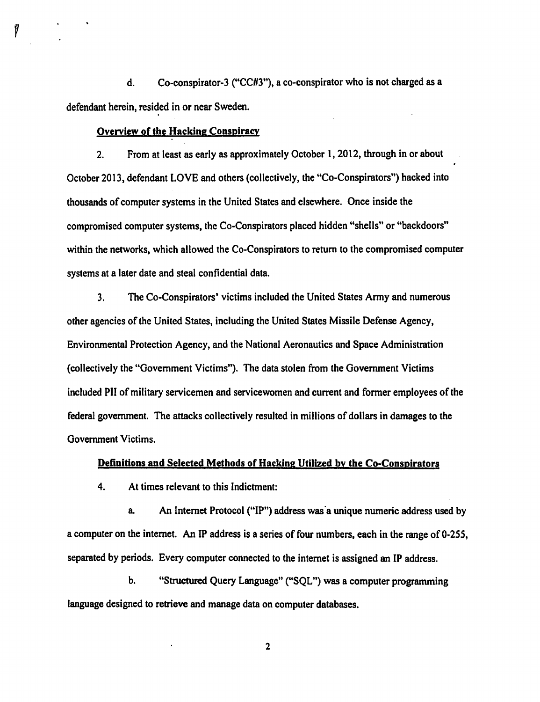d. Co-conspirator-3 ("CC#3"), a co-conspirator who is not charged as a defendant herein, resided in or near Sweden.

## Overview of the Hacking Conspiracy

2. From at least as early as approximately October 1, 2012, through in or about October 2013, defendant LOVE and others (collectively, the "Co-Conspirators") hacked into thousands of computer systems in the United States and elsewhere. Once inside the compromised computer systems, the Co-Conspirators placed hidden "shells" or "backdoors" within the networks, which allowed the Co-Conspirators to return to the compromised computer systems at a later date and steal confidential data.

3. The Co-Conspirators' victims included the United States Anny and numerous other agencies of the United States, including the United States Missile Defense Agency, Environmental Protection Agency, and the National Aeronautics and Space Administration (collectively the "Government Victims"). The data stolen from the Government Victims included PII of military servicemen and servicewomen and current and fonner employees of the federal government. The attacks collectively resulted in millions of dollars in damages to the Government Victims.

#### Definitions and Selected Methods of Hacking Utilized by the Co-Conspirators

4. At times relevant to this Indictment:

a. An Internet Protocol ("IP") address was a unique numeric address used by a computer on the internet. An IP address is a series of four numbers, each in the range of 0-255, separated by periods. Every computer connected to the internet is assigned an IP address.

b. "Structured Query Language" ("SQL") was a computer programming language designed to retrieve and manage data on computer databases.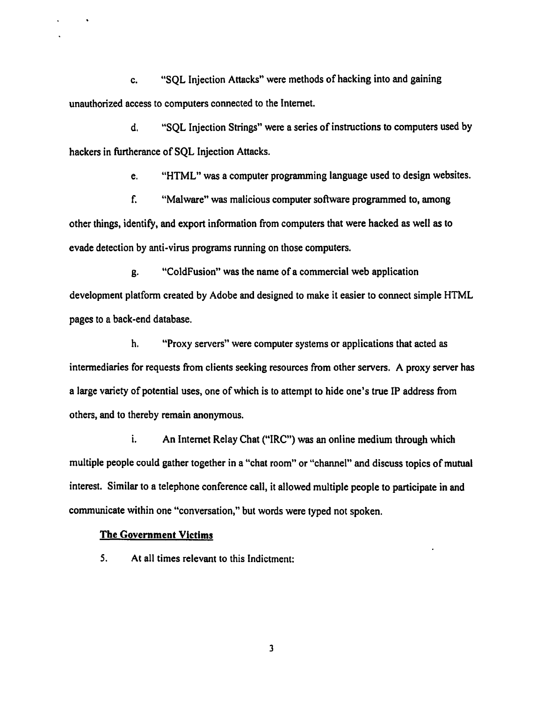c. "SQL Injection Attacks" were methods of hacking into and gaining unauthorized access to computers connected to the Internet.

d. "SQL Injection Strings" were a series of instructions to computers used by hackers in furtherance of SQL Injection Attacks.

e. "HTML" was a computer programming language used to design websites.

f. "Mal ware" was malicious computer software programmed to, among other things, identify, and export information from computers that were hacked as well as to evade detection by anti-virus programs running on those computers.

g. "ColdFusion" was the name of a commercial web application development platform created by Adobe and designed to make it easier to connect simple HTML pages to a back -end database.

h. "Proxy servers" were computer systems or applications that acted as intermediaries for requests from clients seeking resources from other servers. A proxy server has a large variety of potential uses, one of which is to attempt to hide one's true IP address from others, and to thereby remain anonymous.

i. An Internet Relay Chat ("IRC") was an online medium through which multiple people could gather together in a "chat room" or "channel" and discuss topics of mutual interest. Similar to a telephone conference call, it allowed multiple people to participate in and communicate within one "conversation," but words were typed not spoken.

## The Government Victims

*5.* At all times relevant to this Indictment: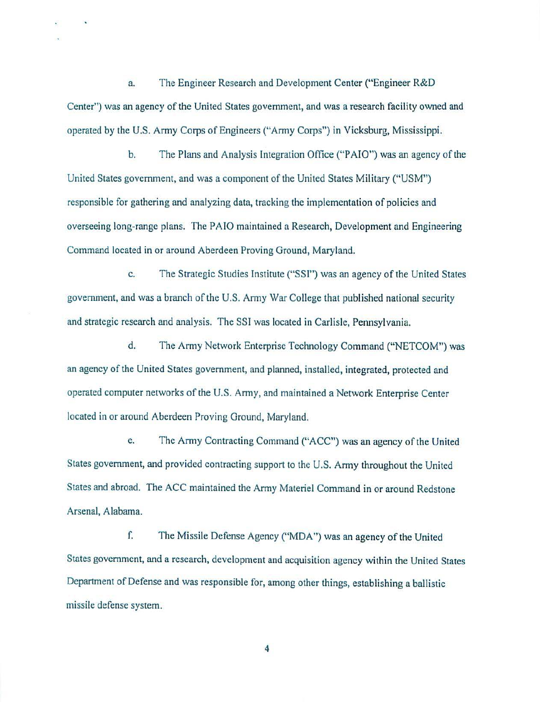a. The Engineer Research and Development Center ("Engineer R&D Center") was an agency of the United States government, and was a research facility owned and operated by the U.S. Army Corps of Engineers ("Army Corps") in Vicksburg, Mississippi.

b. The Plans and Analysis Integration Office ("PAIO") was an agency of the United States government, and was a component of the United States Military ("USM") responsible for gathering and analyzing data, tracking the implementation of policies and overseeing long-range plans. The PAIO maintained a Research, Development and Engineering Command located in or around Aberdeen Proving Ground, Maryland.

c. The Strategic Studies Institute ("SSI") was an agency of the United States government, and was a branch of the U.S. Army War College that published national security and strategic research and analysis. The SSI was located in Carlisle, Pennsylvania.

d. The Army Network Enterprise Technology Command ("NETCOM") was an agency of the United States government, and planned, installed, integrated, protected and operated computer networks of the U.S. Army, and maintained a Network Enterprise Center located in or around Aberdeen Proving Ground, Maryland.

e. The Army Contracting Command ("ACC") was an agency of the United States government, and provided contracting support to the U.S. Army throughout the United States and abroad. The ACC maintained the Army Materiel Command in or around Redstone Arsenal, Alabama.

f. The Missile Defense Agency ("MDA") was an agency of the United States government, and a research, development and acquisition agency within the United States Department of Defense and was responsible for, among other things, establishing a ballistic missile defense system.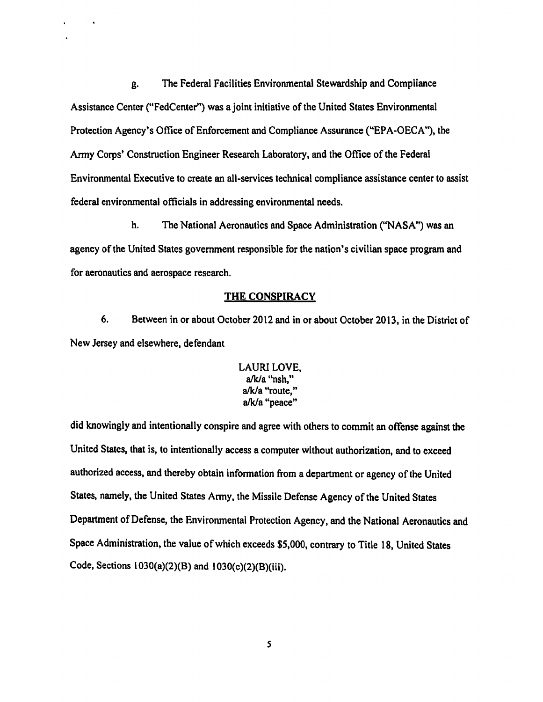g. The Federal Facilities Environmental Stewardship and Compliance Assistance Center ("FedCenter") was a joint initiative of the United States Environmental Protection Agency's Office of Enforcement and Compliance Assurance ("EPA-OECA"), the Anny Corps' Construction Engineer Research Laboratory, and the Office of the Federal Environmental Executive to create an all-services technical compliance assistance center to assist federal environmental officials in addressing environmental needs.

h. The National Aeronautics and Space Administration ("NASA") was an agency of the United States government responsible for the nation's civilian space program and for aeronautics and aerospace research.

### THE CONSPIRACY

6. Between in or about October 2012 and in or about October 2013, in the District of New Jersey and elsewhere, defendant

# LAURI LOVE, a/kJa "nsh," a/kJa "route," a/k/a "peace"

did knowingly and intentionally conspire and agree with others to commit an offense against the United States, that is, to intentionally access a computer without authorization, and to exceed authorized access, and thereby obtain information from a department or agency of the United States, namely, the United States Army, the Missile Defense Agency of the United States Department of Defense, the Environmental Protection Agency, and the National Aeronautics and Space Administration, the value of which exceeds \$5,000, contrary to Title 18, United States Code, Sections 1030(a)(2)(B) and l030(c)(2)(B)(iii).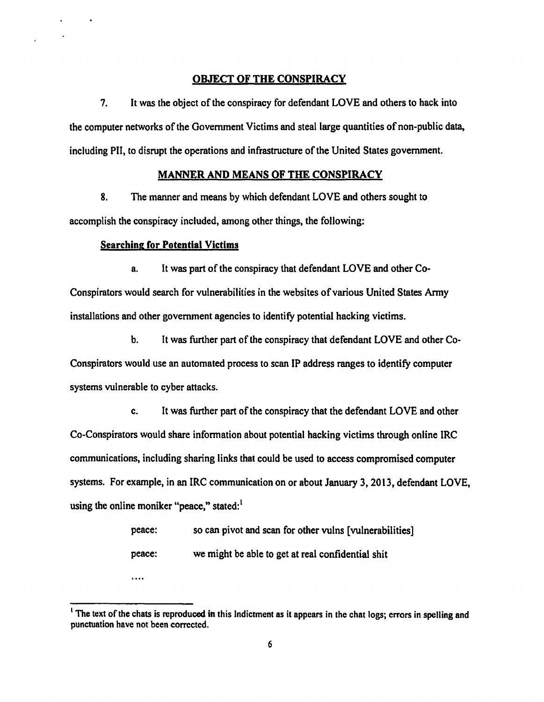# OBJECT OF THE CONSPIRACY

7. It was the object of the conspiracy for defendant LOVE and others to hack into the computer networks of the Government Victims and steal large quantities of non-public data, including PII, to disrupt the operations and infrastructure of the United States government.

#### MANNER AND MEANS OF THE CONSPIRACY

8. The manner and means by which defendant LOVE and others sought to accomplish the conspiracy included, among other things, the following:

#### Searching for Potential Victims

a. It was part of the conspiracy that defendant LOVE and other Co-Conspirators would search for vulnerabilities in the websites of various United States Anny installations and other government agencies to identify potential hacking victims.

b. It was further part of the conspiracy that defendant LOVE and other Co-Conspirators would use an automated process to scan IP address ranges to identify computer systems vulnerable to cyber attacks.

c. It was further part of the conspiracy that the defendant LOVE and other Co-Conspirators would share information about potential hacking victims through online IRC communications, including sharing links that could be used to access compromised computer systems. For example, in an IRC communication on or about January 3, 2013, defendant LOVE, using the online moniker "peace," stated: $<sup>1</sup>$ </sup>

| peace: | so can pivot and scan for other vulns [vulnerabilities] |
|--------|---------------------------------------------------------|
| peace: | we might be able to get at real confidential shit       |
| .      |                                                         |

<sup>&</sup>lt;sup>1</sup> The text of the chats is reproduced in this Indictment as it appears in the chat logs; errors in spelling and punctuation have not been corrected.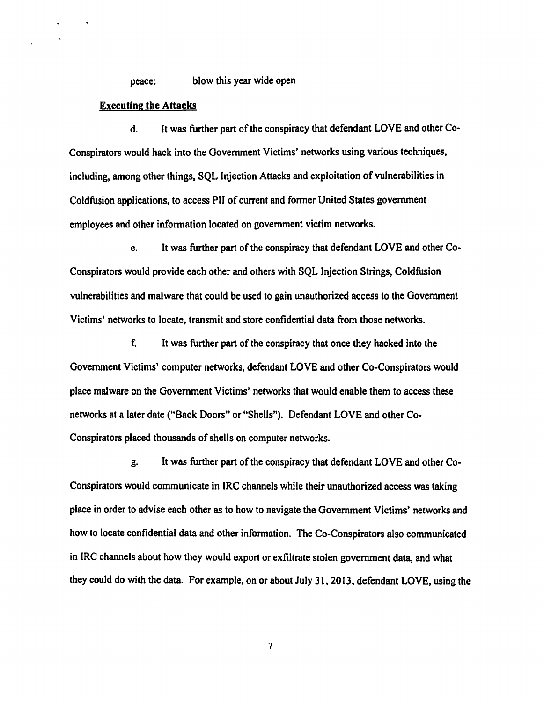peace: blow this year wide open

#### Executing the Attacks

d. It was further part of the conspiracy that defendant LOVE and other Co-Conspirators would hack into the Government Victims' networks using various techniques, including, among other things, SQL Injection Attacks and exploitation of vulnerabilities in Coldfusion applications, to access PII of current and former United States government employees and other infonnation located on government victim networks.

e. It was further part of the conspiracy that defendant LOVE and other Co-Conspirators would provide each other and others with SQL Injection Strings, Coldfusion vulnerabilities and mal ware that could be used to gain unauthorized access to the Government Victims' networks to locate, transmit and store confidential data from those networks.

f. It was further part of the conspiracy that once they hacked into the Government Victims' computer networks, defendant LOVE and other Co-Conspirators would place malware on the Government Victims' networks that would enable them to access these networks at a later date ("Back Doors" or "Shells"). Defendant LOVE and other Co-Conspirators placed thousands of shells on computer networks.

g. It was further part of the conspiracy that defendant LOVE and other Co-Conspirators would communicate in IRC channels while their unauthorized access was taking place in order to advise each other as to how to navigate the Government Victims' networks and how to locate confidential data and other information. The Co-Conspirators also communicated in IRC channels about how they would export or exfiltrate stolen government data, and what they could do with the data. For example, on or about July 31, 2013, defendant LOVE, using the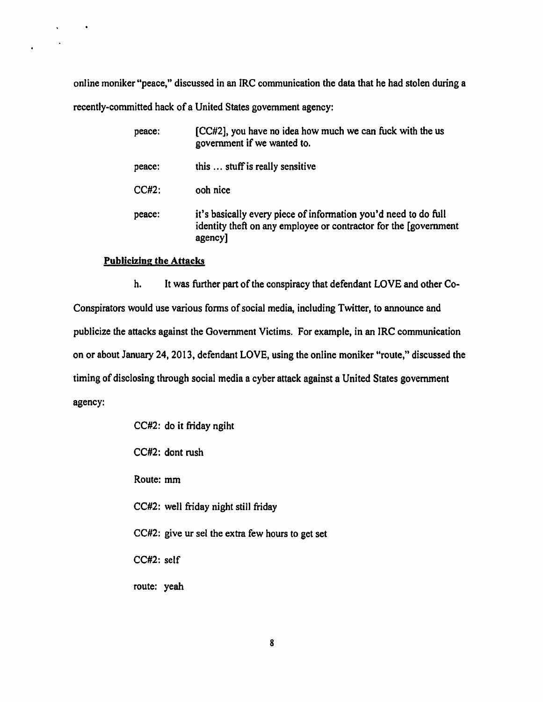online moniker "peace," discussed in an IRC communication the data that he had stolen during a recently-committed hack of a United States government agency:

| peace:   | [CC#2], you have no idea how much we can fuck with the us<br>government if we wanted to.                                                        |
|----------|-------------------------------------------------------------------------------------------------------------------------------------------------|
| peace:   | this  stuff is really sensitive                                                                                                                 |
| $CC#2$ : | ooh nice                                                                                                                                        |
| peace:   | it's basically every piece of information you'd need to do full<br>identity theft on any employee or contractor for the [government]<br>agency] |

# Publicizing the Attacks

 $\ddot{\phantom{1}}$ 

h. It was further part of the conspiracy that defendant LOVE and other Co-Conspirators would use various forms of social media, including Twitter, to announce and publicize the attacks against the Government Victims. For example, in an IRC communication on or about January 24, 2013, defendant LOVE, using the online moniker "route," discussed the timing of disclosing through social media a cyber attack against a United States government agency:

|             | CC#2: do it friday ngiht                         |
|-------------|--------------------------------------------------|
|             | CC#2: dont rush                                  |
| Route: mm   |                                                  |
|             | CC#2: well friday night still friday             |
|             | CC#2: give ur sel the extra few hours to get set |
| CC#2: self  |                                                  |
| route: yeah |                                                  |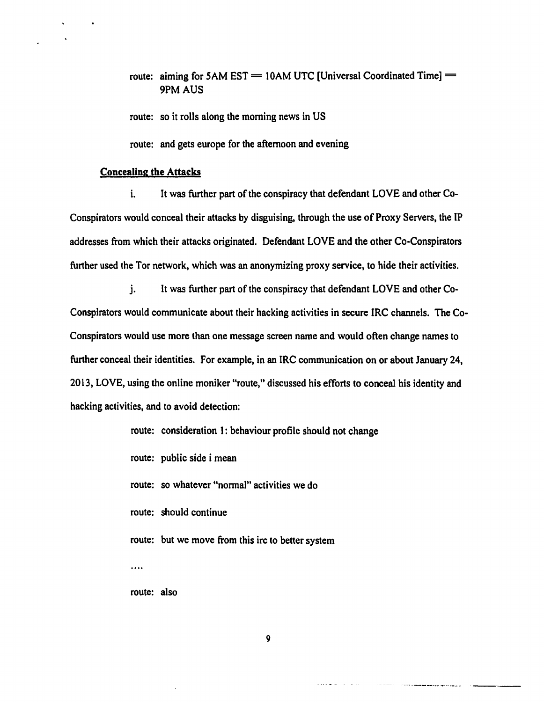route: aiming for 5AM EST  $=$  10AM UTC [Universal Coordinated Time]  $=$ 9PM AUS

route: so it rolls along the morning news in US

route: and gets europe for the afternoon and evening

#### Concealing the Attacks

i. It was further part of the conspiracy that defendant LOVE and other Co-Conspirators would conceal their attacks by disguising, through the use of Proxy Servers, the IP addresses from which their attacks originated. Defendant LOVE and the other Co-Conspirators further used the Tor network, which was an anonymizing proxy service, to hide their activities.

j. It was further part of the conspiracy that defendant LOVE and other Co-Conspirators would communicate about their hacking activities in secure IRC channels. The Co-Conspirators would use more than one message screen name and would often change names to further conceal their identities. For example, in an IRC communication on or about January 24, 2013, LOVE, using the online moniker "route," discussed his efforts to conceal his identity and hacking activities, and to avoid detection:

|             | route: consideration 1: behaviour profile should not change |
|-------------|-------------------------------------------------------------|
|             | route: public side i mean                                   |
|             | route: so whatever "normal" activities we do                |
|             | route: should continue                                      |
|             | route: but we move from this irc to better system           |
|             |                                                             |
| route: also |                                                             |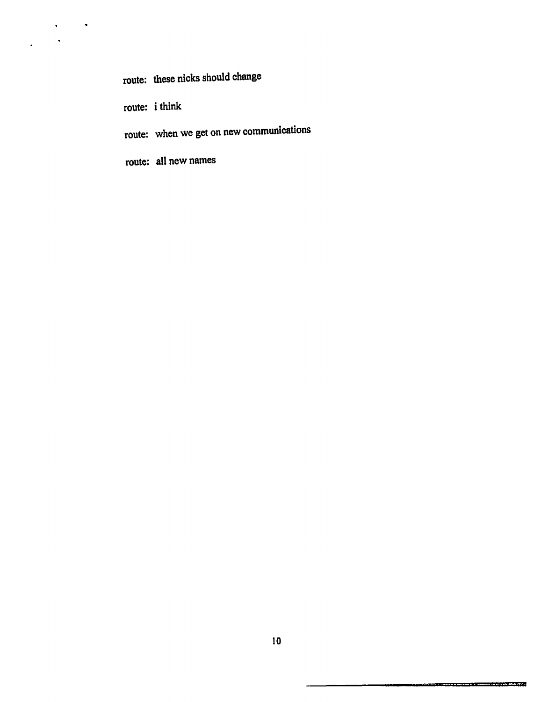route: these nicks should change

route: i think

 $\sqrt{1-\beta}$  ,  $\sqrt{2}$ 

 $\bar{\mathbf{A}}$ 

 $\frac{1}{2}$  .

route: when we get on new communications

route: all new names

L.

a de la componentación de la componentación de la componentación de la componentación de la componentación de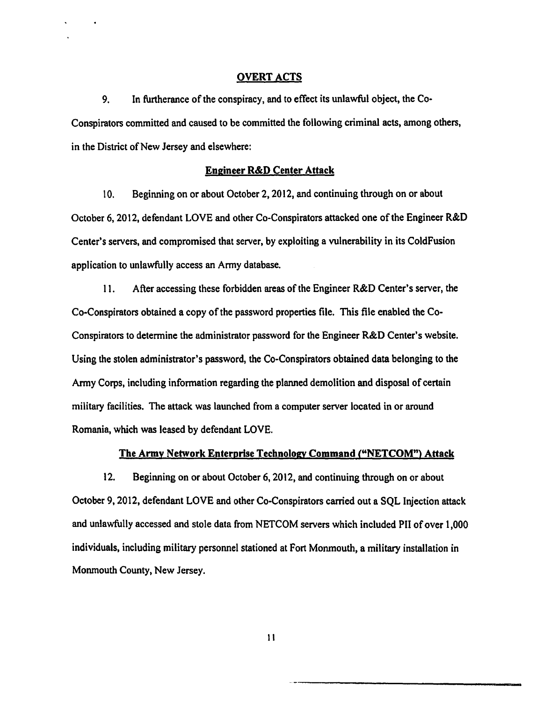#### OVERT ACTS

9. In furtherance of the conspiracy, and to effect its unlawful object, the Co· Conspirators committed and caused to be committed the following criminal acts, among others, in the District of New Jersey and elsewhere:

#### Engineer R&D Center Attack

1 0. Beginning on or about October 2, 2012, and continuing through on or about October 6, 2012, defendant LOVE and other Co-Conspirators attacked one of the Engineer R&D Center's servers, and compromised that server, by exploiting a vulnerability in its ColdFusion application to unlawfully access an Army database.

11. After accessing these forbidden areas of the Engineer R&D Center's server, the Co-Conspirators obtained a copy of the password properties file. This file enabled the Co-Conspirators to determine the administrator password for the Engineer R&D Center's website. Using the stolen administrator's password, the Co-Conspirators obtained data belonging to the Army Corps, including information regarding the planned demolition and disposal of certain military facilities. The attack was launched from a computer server located in or around Romania, which was leased by defendant LOVE.

#### The Army Network Enterprise Technology Command ("NETCOM") Attack

12. Beginning on or about October 6, 2012, and continuing through on or about October 9, 2012, defendant LOVE and other Co-Conspirators carried out a SQL Injection attack and unlawfully accessed and stole data from NETCOM servers which included PII of over 1,000 individuals, including military personnel stationed at Fort Monmouth, a military installation in Monmouth County, New Jersey.

ll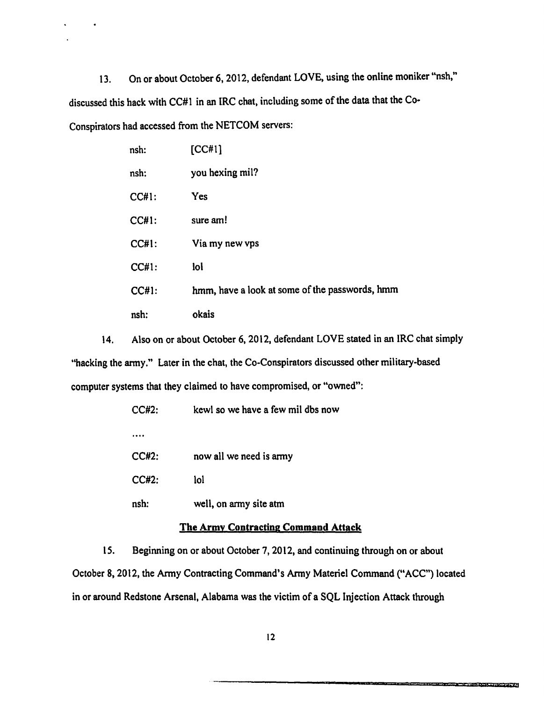13. On or about October 6, 2012, defendant LOVE, using the online moniker "nsh," discussed this hack with CC#l in an lRC chat, including some of the data that the Co· Conspirators had accessed from the NETCOM servers:

| nsh:         | [CC#1]                                         |
|--------------|------------------------------------------------|
| nsh:         | you hexing mil?                                |
| <b>CC#1:</b> | Yes                                            |
| <b>CC#1:</b> | sure am!                                       |
| CCH1:        | Via my new vps                                 |
| $CC#1$ :     | lol                                            |
| CCH1:        | hmm, have a look at some of the passwords, hmm |
| nsh:         | okais                                          |

14. Also on or about October 6, 2012, defendant LOVE stated in an IRC chat simply "hacking the army." Later in the chat, the Co-Conspirators discussed other military-based computer systems that they claimed to have compromised, or "owned":

| CC#2:        | kewl so we have a few mil dbs now |
|--------------|-----------------------------------|
|              |                                   |
| <b>CC#2:</b> | now all we need is army           |
| $CC#2$ :     | lol                               |
| nsh:         | well, on army site atm            |

# The Army Contracting Command Attack

15. Beginning on or about October 7, 2012, and continuing through on or about October 8, 2012, the Army Contracting Command's Army Materiel Command ("ACC") located in or around Redstone Arsenal, Alabama was the victim of a SQL Injection Attack through

the company of the company of the company of the company of the company of the company of the company of the company of the company of the company of the company of the company of the company of the company of the company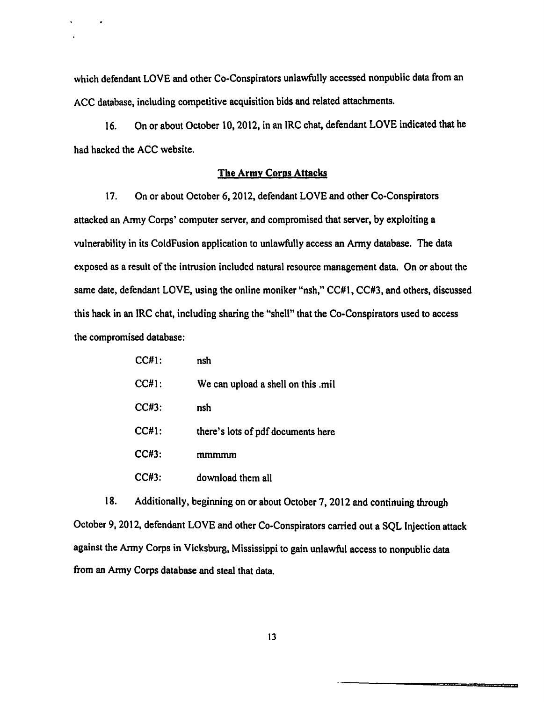which defendant LOVE and other Co-Conspirators unlawfully accessed nonpublic data from an ACC database, including competitive acquisition bids and related attachments.

16. On or about October 10,2012, in an IRC chat, defendant LOVE indicated that he had hacked the ACC website.

# The Army Corps Attacks

17. On or about October 6, 2012, defendant LOVE and other Co-Conspirators attacked an Army Corps' computer server, and compromised that server, by exploiting a vulnerability in its ColdFusion application to unlawfully access an Anny database. The data exposed as a result of the intrusion included natural resource management data. On or about the same date, defendant LOVE, using the online moniker "nsh," CC#l, CC#3, and others, discussed this hack in an IRC chat, including sharing the "shell" that the Co-Conspirators used to access the compromised database:

| CC#1:    | nsh                                |
|----------|------------------------------------|
| $CC#1$ : | We can upload a shell on this .mil |
| $CC#3$ : | nsh                                |
| CC#1:    | there's lots of pdf documents here |
| CC#3:    | mmmmm                              |
| CC#3:    | download them all                  |

18. Additionally, beginning on or about October 7, 2012 and continuing through October 9, 2012, defendant LOVE and other Co-Conspirators carried out a SQL Injection attack against the Anny Corps in Vicksburg, Mississippi to gain unlawful access to nonpublic data from an Anny Corps database and steal that data.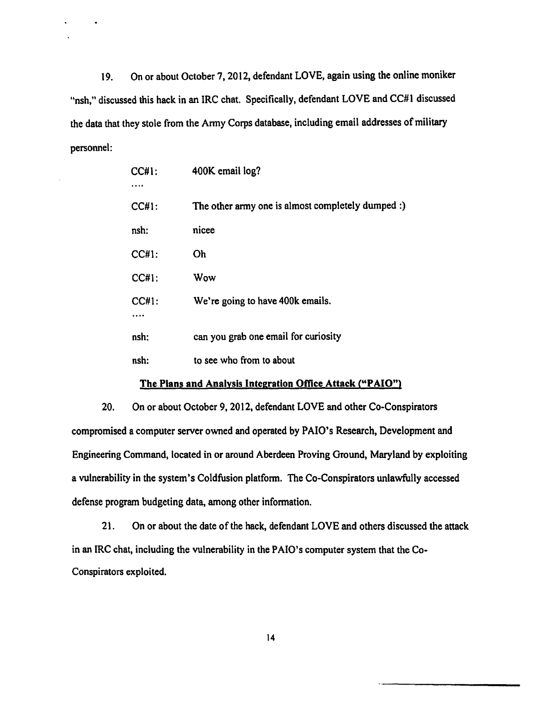19. On or about October 7, 2012, defendant LOVE, again using the online moniker "nsh," discussed this hack in an IRC chat. Specifically, defendant LOVE and CC#1 discussed the data that they stole from the Army Corps database, including email addresses of military personnel:

| <b>CC#1:</b> | 400K email log?                                   |
|--------------|---------------------------------------------------|
| <b>CC#1:</b> | The other army one is almost completely dumped :) |
| nsh:         | nicee                                             |
| <b>CC#1:</b> | <b>Oh</b>                                         |
| CC#1:        | Wow                                               |
| <b>CC#1:</b> | We're going to have 400k emails.                  |
| nsh:         | can you grab one email for curiosity              |
| nsh:         | to see who from to about                          |

#### The Plans and Analysis Integration Office Attack ("PAlO")

20. On or about October 9, 2012, defendant LOVE and other Co-Conspirators compromised a computer server owned and operated by PAlO's Research, Development and Engineering Command, located in or around Aberdeen Proving Ground, Maryland by exploiting a vulnerability in the system's Coldfusion platform. The Co-Conspirators unlawfully accessed defense program budgeting data, among other information.

21. On or about the date of the hack, defendant LOVE and others discussed the attack in an IRC chat, including the vulnerability in the PAlO's computer system that the Co· Conspirators exploited.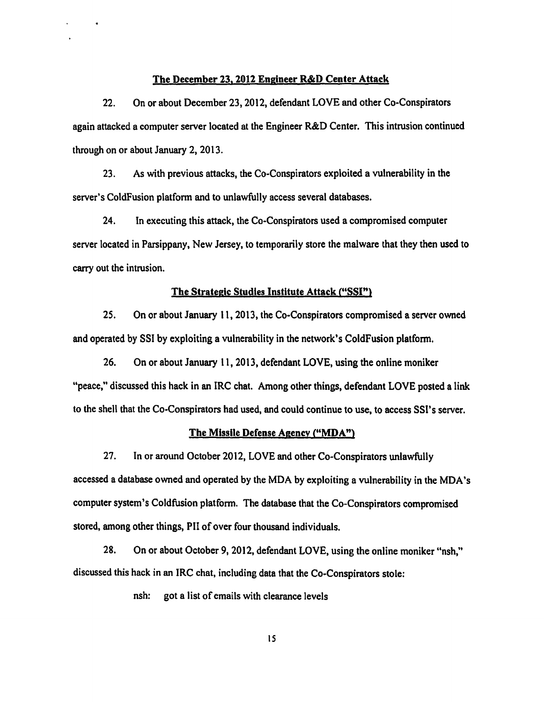#### The December 23, 2012 Engineer R&D Center Attack

22. On or about December 23, 2012, defendant LOVE and other Co-Conspirators again attacked a computer server located at the Engineer R&D Center. This intrusion continued through on or about January 2, 2013.

23. As with previous attacks, the Co-Conspirators exploited a wlnerability in the server's ColdFusion platform and to unlawfully access several databases.

24. In executing this attack, the Co-Conspirators used a compromised computer server located in Parsippany, New Jersey, to temporarily store the malware that they then used to carry out the intrusion.

# The Strategic Studies Institute Attack ("SSI")

25. On or about January 11, 2013, the Co-Conspirators compromised a server owned and operated by SSI by exploiting a wlnerability in the network's ColdFusion platform.

26. On or about January 11, 2013, defendant LOVE, using the online moniker "peace," discussed this hack in an IRC chat. Among other things, defendant LOVE posted a link to the shell that the Co-Conspirators had used, and could continue to use, to access SSI's server.

#### The Missile Defense Agency ("MDA")

27. In or around October 2012, LOVE and other Co-Conspirators unlawfully accessed a database owned and operated by the MDA by exploiting a wlnerability in the MDA 's computer system's Coldfusion platform. The database that the Co-Conspirators compromised stored, among other things, PII of over four thousand individuals.

28. On or about October 9, 2012, defendant LOVE, using the online moniker "nsh," discussed this hack in an IRC chat, including data that the Co-Conspirators stole:

nsh: got a list of emails with clearance levels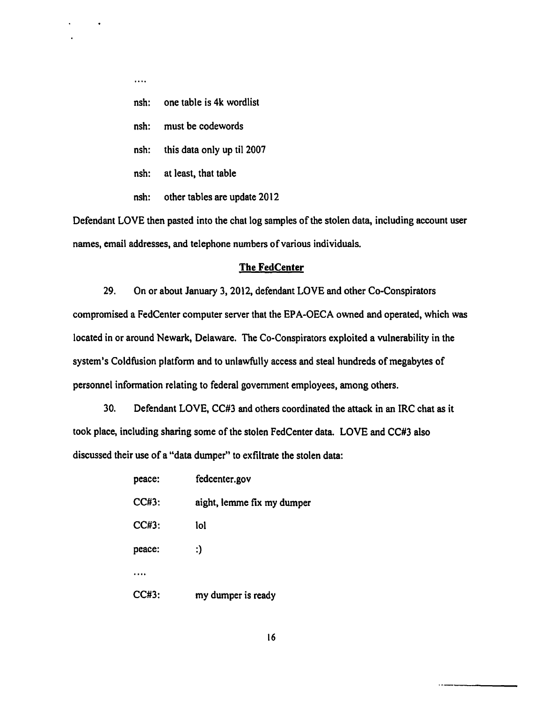- $\ldots$
- nsh: one table is 4k wordlist
- nsh: must be codewords
- nsh: this data only up til 2007
- nsh: at least, that table
- nsh: other tables are update 2012

Defendant LOVE then pasted into the chat log samples of the stolen data, including account user names, email addresses, and telephone numbers of various individuals.

#### **The FedCenter**

29. On or about January 3, 2012, defendant LOVE and other Co-Conspirators compromised a FedCenter computer server that the EPA-OECA owned and operated, which was located in or around Newark, Delaware. The Co-Conspirators exploited a wlnerability in the system's Coldfusion platform and to unlawfully access and steal hundreds of megabytes of personnel information relating to federal government employees, among others.

30. Defendant LOVE, CC#3 and others coordinated the attack in an IRC chat as it took place, including sharing some of the stolen FedCenter data. LOVE and CC#3 also discussed their use of a "data dumper" to exfiltrate the stolen data:

| peace:   | fedcenter.gov              |
|----------|----------------------------|
| $CC#3$ : | aight, lemme fix my dumper |
| CC#3:    | lol                        |
| peace:   | :)                         |
|          |                            |
| CC#3:    | my dumper is ready         |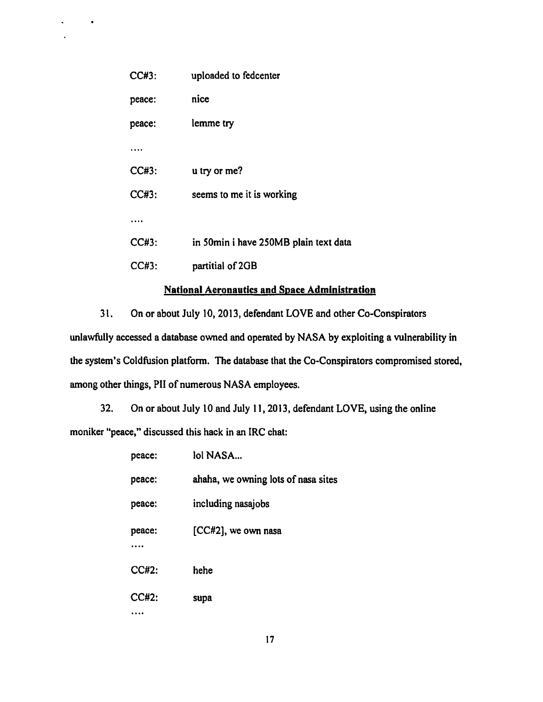| CC#3:    | uploaded to fedcenter                 |
|----------|---------------------------------------|
| peace:   | nice                                  |
| peace:   | lemme try                             |
|          |                                       |
| $CC#3$ : | u try or me?                          |
| CC#3:    | seems to me it is working             |
|          |                                       |
| CC#3:    | in 50min i have 250MB plain text data |
| CC#3:    | partitial of 2GB                      |

 $\bullet$ 

# National Aeronautics and Space Administration

31. On or about July 10,2013, defendant LOVE and other Co-Conspirators unlawfully accessed a database owned and operated by NASA by exploiting a wlnerability in the system's Coldfusion platform. The database that the Co-Conspirators compromised stored, among other things, PII of numerous NASA employees.

32. On or about July 10 and July 11, 2013, defendant LOVE, using the online moniker "peace," discussed this hack in an IRC chat:

| peace: | lol NASA                            |
|--------|-------------------------------------|
| peace: | ahaha, we owning lots of nasa sites |
| peace: | including nasajobs                  |
| peace: | $[CC#2]$ , we own nasa              |
| CC#2:  | hehe                                |
| CC#2:  | supa                                |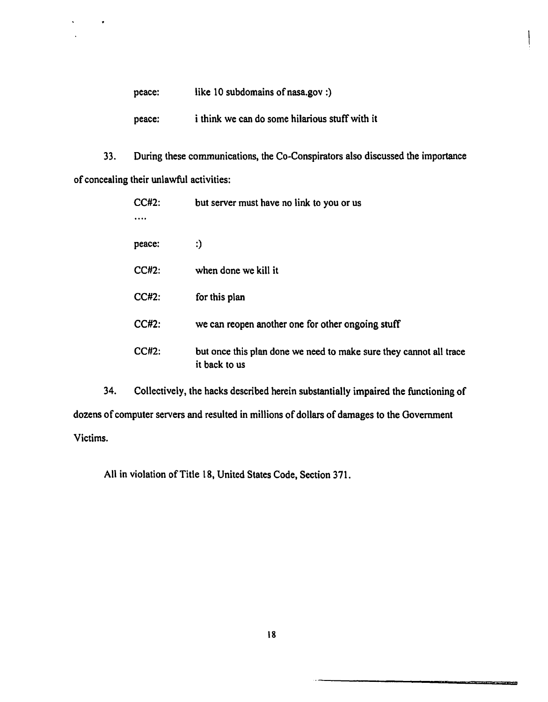| peace: | like 10 subdomains of nasa.gov :)              |
|--------|------------------------------------------------|
| peace: | i think we can do some hilarious stuff with it |

 $\hat{\phantom{a}}$ 

 $\bullet$ 

33. During these communications, the Co·Conspirators also discussed the importance of concealing their unlawful activities:

| $CC#2$ :     | but server must have no link to you or us                                           |
|--------------|-------------------------------------------------------------------------------------|
| peace:       | :)                                                                                  |
| <b>CC#2:</b> | when done we kill it                                                                |
| $CC#2$ :     | for this plan                                                                       |
| $CC#2$ :     | we can reopen another one for other ongoing stuff                                   |
| <b>CC#2:</b> | but once this plan done we need to make sure they cannot all trace<br>it back to us |

34. Collectively, the hacks described herein substantially impaired the functioning of dozens of computer servers and resulted in millions of dollars of damages to the Government Victims.

All in violation of Title 18, United States Code, Section 371.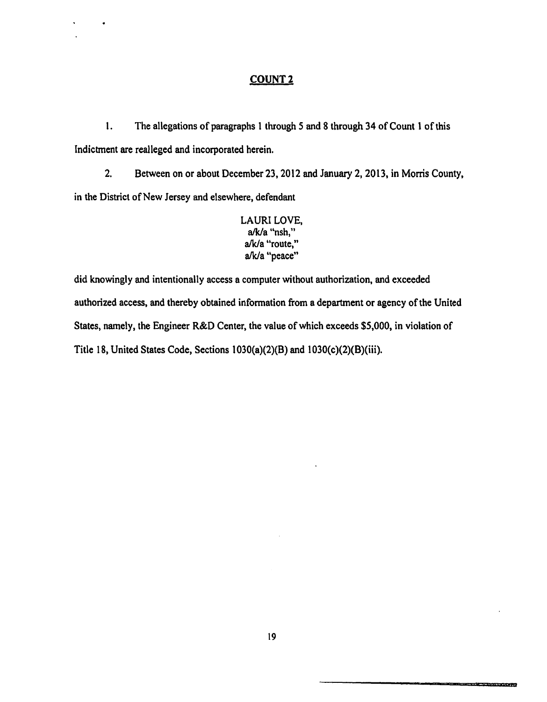# COUNT<sub>2</sub>

1. The allegations of paragraphs 1 through 5 and 8 through 34 of Count 1 of this Indictment are realleged and incorporated herein.

2. Between on or about December 23,2012 and January 2, 2013, in Morris County, in the District of New Jersey and elsewhere, defendant

LAURI LOVE, a/k/a "nsh," a/k/a "route," a/k/a "peace"

did knowingly and intentionally access a computer without authorization, and exceeded authorized access, and thereby obtained information from a department or agency of the United States, namely, the Engineer R&D Center, the value of which exceeds \$5,000, in violation of Title 18, United States Code, Sections  $1030(a)(2)(B)$  and  $1030(c)(2)(B)(iii)$ .

<u> Tanzania za pozitivne predsjed</u>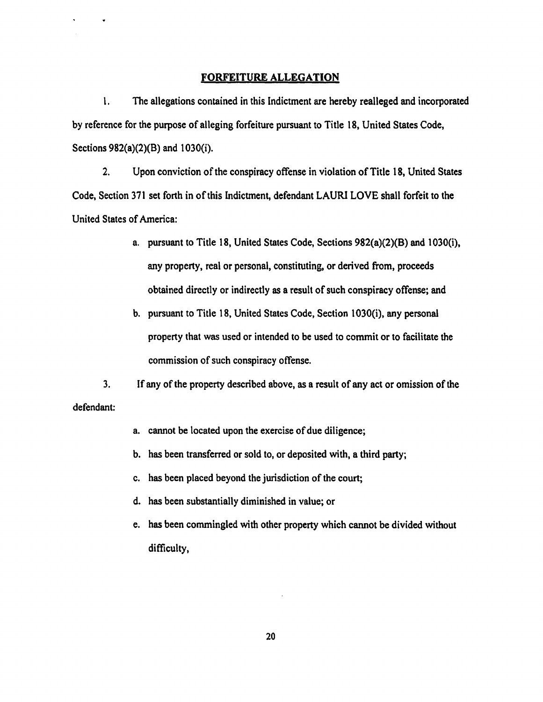#### FORFEITURE ALLEGATION

 $\ddot{\phantom{0}}$ 

1. The allegations contained in this Indictment are hereby realleged and incorporated by reference for the purpose of alleging forfeiture pursuant to Title 18, United States Code, Sections  $982(a)(2)(B)$  and  $1030(i)$ .

2. Upon conviction of the conspiracy offense in violation of Title 18, United States Code, Section 371 set forth in of this Indictment, defendant LAURI LOVE shall forfeit to the United States of America:

- a. pursuant to Title 18, United States Code, Sections 982(a)(2)(B) and 1 030(i), any property, real or personal, constituting, or derived from, proceeds obtained directly or indirectly as a result of such conspiracy offense; and
- b. pursuant to Title 18, United States Code, Section 1030(i), any personal property that was used or intended to be used to commit or to facilitate the commission of such conspiracy offense.

3. If any ofthe property described above, as a result of any act or omission of the defendant:

- a. cannot be located upon the exercise of due diligence;
- b. has been transferred or sold to, or deposited with, a third party;
- c. has been placed beyond the jurisdiction of the court;
- d. has been substantially diminished in value; or
- e. has been commingled with other property which cannot be divided without difficulty,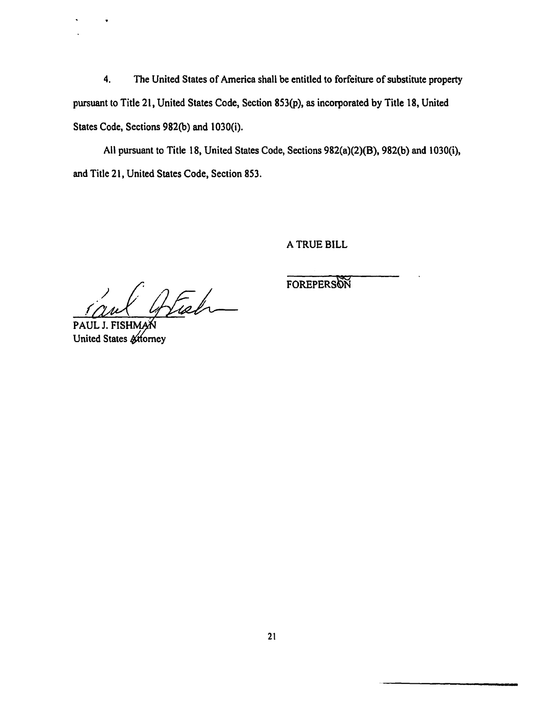4. The United States of America shall be entitled to forfeiture of substitute property pursuant to Title 21, United States Code, Section 853(p), as incorporated by Title 18, United States Code, Sections 982(b) and 1030(i).

All pursuant to Title 18, United States Code, Sections 982(a)(2)(B), 982(b) and l 030(i), and Title 21, United States Code, Section 853.

A TRUE BILL

Atish

PAUL J. FISHM United States & Horney

FOREPERSON